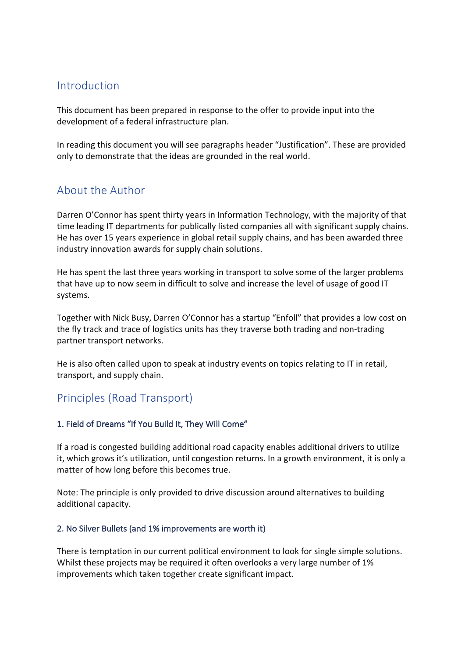# Introduction

This document has been prepared in response to the offer to provide input into the development of a federal infrastructure plan.

In reading this document you will see paragraphs header "Justification". These are provided only to demonstrate that the ideas are grounded in the real world.

# About the Author

Darren O'Connor has spent thirty years in Information Technology, with the majority of that time leading IT departments for publically listed companies all with significant supply chains. He has over 15 years experience in global retail supply chains, and has been awarded three industry innovation awards for supply chain solutions.

He has spent the last three years working in transport to solve some of the larger problems that have up to now seem in difficult to solve and increase the level of usage of good IT systems.

Together with Nick Busy, Darren O'Connor has a startup "Enfoll" that provides a low cost on the fly track and trace of logistics units has they traverse both trading and non-trading partner transport networks.

He is also often called upon to speak at industry events on topics relating to IT in retail, transport, and supply chain.

# Principles (Road Transport)

## 1. Field of Dreams "If You Build It, They Will Come"

If a road is congested building additional road capacity enables additional drivers to utilize it, which grows it's utilization, until congestion returns. In a growth environment, it is only a matter of how long before this becomes true.

Note: The principle is only provided to drive discussion around alternatives to building additional capacity.

## 2. No Silver Bullets (and 1% improvements are worth it)

There is temptation in our current political environment to look for single simple solutions. Whilst these projects may be required it often overlooks a very large number of 1% improvements which taken together create significant impact.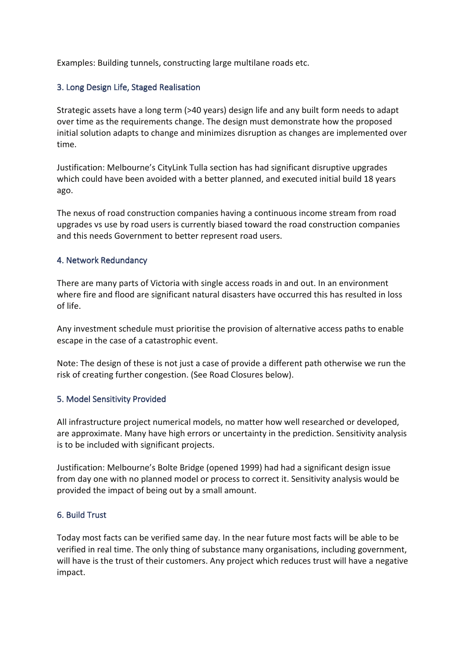Examples: Building tunnels, constructing large multilane roads etc.

#### 3. Long Design Life, Staged Realisation

Strategic assets have a long term (>40 years) design life and any built form needs to adapt over time as the requirements change. The design must demonstrate how the proposed initial solution adapts to change and minimizes disruption as changes are implemented over time.

Justification: Melbourne's CityLink Tulla section has had significant disruptive upgrades which could have been avoided with a better planned, and executed initial build 18 years ago. 

The nexus of road construction companies having a continuous income stream from road upgrades vs use by road users is currently biased toward the road construction companies and this needs Government to better represent road users.

#### 4. Network Redundancy

There are many parts of Victoria with single access roads in and out. In an environment where fire and flood are significant natural disasters have occurred this has resulted in loss of life.

Any investment schedule must prioritise the provision of alternative access paths to enable escape in the case of a catastrophic event.

Note: The design of these is not just a case of provide a different path otherwise we run the risk of creating further congestion. (See Road Closures below).

#### 5. Model Sensitivity Provided

All infrastructure project numerical models, no matter how well researched or developed, are approximate. Many have high errors or uncertainty in the prediction. Sensitivity analysis is to be included with significant projects.

Justification: Melbourne's Bolte Bridge (opened 1999) had had a significant design issue from day one with no planned model or process to correct it. Sensitivity analysis would be provided the impact of being out by a small amount.

#### 6. Build Trust

Today most facts can be verified same day. In the near future most facts will be able to be verified in real time. The only thing of substance many organisations, including government, will have is the trust of their customers. Any project which reduces trust will have a negative impact.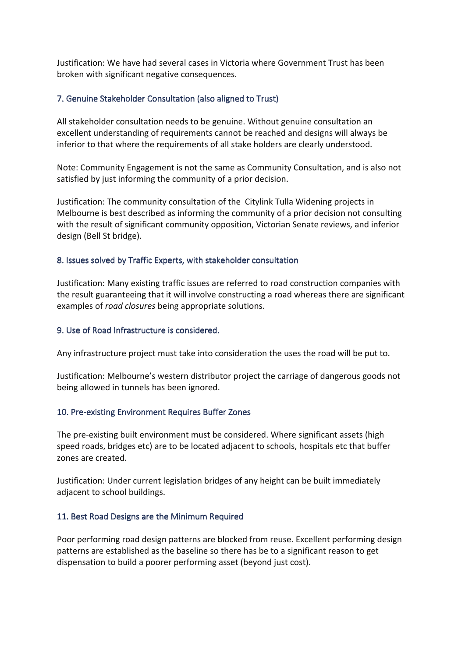Justification: We have had several cases in Victoria where Government Trust has been broken with significant negative consequences.

#### 7. Genuine Stakeholder Consultation (also aligned to Trust)

All stakeholder consultation needs to be genuine. Without genuine consultation an excellent understanding of requirements cannot be reached and designs will always be inferior to that where the requirements of all stake holders are clearly understood.

Note: Community Engagement is not the same as Community Consultation, and is also not satisfied by just informing the community of a prior decision.

Justification: The community consultation of the Citylink Tulla Widening projects in Melbourne is best described as informing the community of a prior decision not consulting with the result of significant community opposition, Victorian Senate reviews, and inferior design (Bell St bridge).

#### 8. Issues solved by Traffic Experts, with stakeholder consultation

Justification: Many existing traffic issues are referred to road construction companies with the result guaranteeing that it will involve constructing a road whereas there are significant examples of *road closures* being appropriate solutions.

#### 9. Use of Road Infrastructure is considered.

Any infrastructure project must take into consideration the uses the road will be put to.

Justification: Melbourne's western distributor project the carriage of dangerous goods not being allowed in tunnels has been ignored.

#### 10. Pre-existing Environment Requires Buffer Zones

The pre-existing built environment must be considered. Where significant assets (high speed roads, bridges etc) are to be located adjacent to schools, hospitals etc that buffer zones are created.

Justification: Under current legislation bridges of any height can be built immediately adjacent to school buildings.

#### 11. Best Road Designs are the Minimum Required

Poor performing road design patterns are blocked from reuse. Excellent performing design patterns are established as the baseline so there has be to a significant reason to get dispensation to build a poorer performing asset (beyond just cost).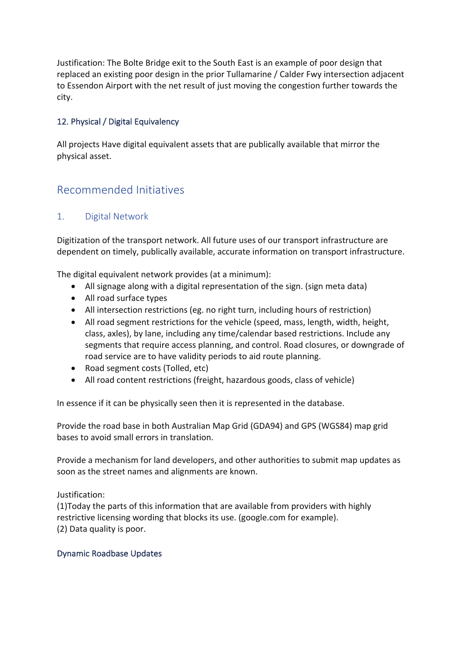Justification: The Bolte Bridge exit to the South East is an example of poor design that replaced an existing poor design in the prior Tullamarine / Calder Fwy intersection adjacent to Essendon Airport with the net result of just moving the congestion further towards the city.

## 12. Physical / Digital Equivalency

All projects Have digital equivalent assets that are publically available that mirror the physical asset.

# Recommended Initiatives

## 1. Digital Network

Digitization of the transport network. All future uses of our transport infrastructure are dependent on timely, publically available, accurate information on transport infrastructure.

The digital equivalent network provides (at a minimum):

- All signage along with a digital representation of the sign. (sign meta data)
- All road surface types
- All intersection restrictions (eg. no right turn, including hours of restriction)
- All road segment restrictions for the vehicle (speed, mass, length, width, height, class, axles), by lane, including any time/calendar based restrictions. Include any segments that require access planning, and control. Road closures, or downgrade of road service are to have validity periods to aid route planning.
- Road segment costs (Tolled, etc)
- All road content restrictions (freight, hazardous goods, class of vehicle)

In essence if it can be physically seen then it is represented in the database.

Provide the road base in both Australian Map Grid (GDA94) and GPS (WGS84) map grid bases to avoid small errors in translation.

Provide a mechanism for land developers, and other authorities to submit map updates as soon as the street names and alignments are known.

Justification: 

(1)Today the parts of this information that are available from providers with highly restrictive licensing wording that blocks its use. (google.com for example). (2) Data quality is poor.

## Dynamic Roadbase Updates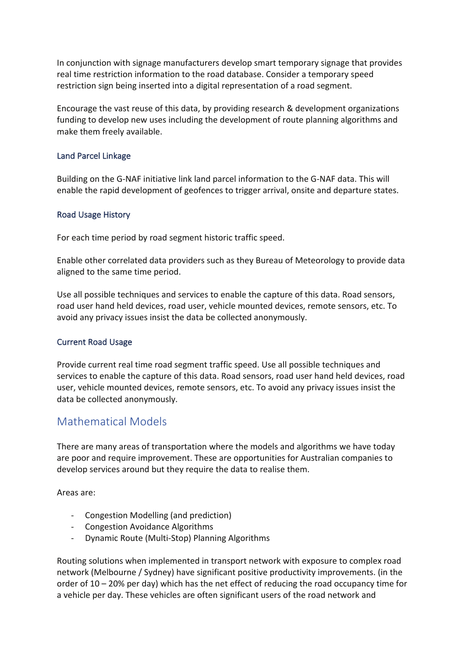In conjunction with signage manufacturers develop smart temporary signage that provides real time restriction information to the road database. Consider a temporary speed restriction sign being inserted into a digital representation of a road segment.

Encourage the vast reuse of this data, by providing research & development organizations funding to develop new uses including the development of route planning algorithms and make them freely available.

#### Land Parcel Linkage

Building on the G-NAF initiative link land parcel information to the G-NAF data. This will enable the rapid development of geofences to trigger arrival, onsite and departure states.

#### Road Usage History

For each time period by road segment historic traffic speed.

Enable other correlated data providers such as they Bureau of Meteorology to provide data aligned to the same time period.

Use all possible techniques and services to enable the capture of this data. Road sensors, road user hand held devices, road user, vehicle mounted devices, remote sensors, etc. To avoid any privacy issues insist the data be collected anonymously.

#### **Current Road Usage**

Provide current real time road segment traffic speed. Use all possible techniques and services to enable the capture of this data. Road sensors, road user hand held devices, road user, vehicle mounted devices, remote sensors, etc. To avoid any privacy issues insist the data be collected anonymously.

# Mathematical Models

There are many areas of transportation where the models and algorithms we have today are poor and require improvement. These are opportunities for Australian companies to develop services around but they require the data to realise them.

Areas are:

- Congestion Modelling (and prediction)
- Congestion Avoidance Algorithms
- Dynamic Route (Multi-Stop) Planning Algorithms

Routing solutions when implemented in transport network with exposure to complex road network (Melbourne / Sydney) have significant positive productivity improvements. (in the order of  $10 - 20%$  per day) which has the net effect of reducing the road occupancy time for a vehicle per day. These vehicles are often significant users of the road network and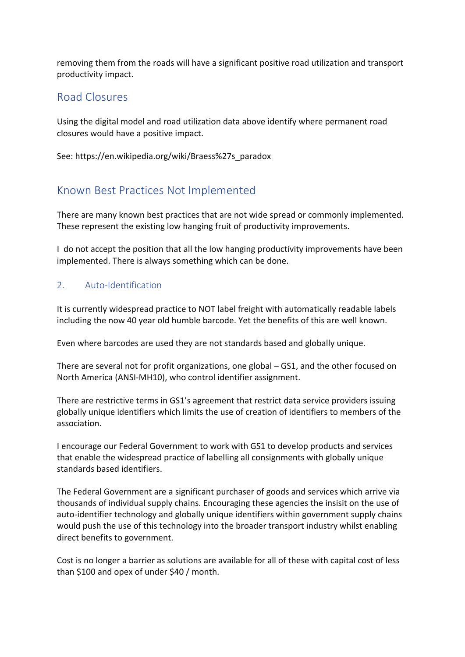removing them from the roads will have a significant positive road utilization and transport productivity impact.

# Road Closures

Using the digital model and road utilization data above identify where permanent road closures would have a positive impact.

See: https://en.wikipedia.org/wiki/Braess%27s\_paradox

# Known Best Practices Not Implemented

There are many known best practices that are not wide spread or commonly implemented. These represent the existing low hanging fruit of productivity improvements.

I do not accept the position that all the low hanging productivity improvements have been implemented. There is always something which can be done.

## 2. Auto-Identification

It is currently widespread practice to NOT label freight with automatically readable labels including the now 40 year old humble barcode. Yet the benefits of this are well known.

Even where barcodes are used they are not standards based and globally unique.

There are several not for profit organizations, one global  $-$  GS1, and the other focused on North America (ANSI-MH10), who control identifier assignment.

There are restrictive terms in GS1's agreement that restrict data service providers issuing globally unique identifiers which limits the use of creation of identifiers to members of the association.

I encourage our Federal Government to work with GS1 to develop products and services that enable the widespread practice of labelling all consignments with globally unique standards based identifiers.

The Federal Government are a significant purchaser of goods and services which arrive via thousands of individual supply chains. Encouraging these agencies the insisit on the use of auto-identifier technology and globally unique identifiers within government supply chains would push the use of this technology into the broader transport industry whilst enabling direct benefits to government.

Cost is no longer a barrier as solutions are available for all of these with capital cost of less than \$100 and opex of under \$40 / month.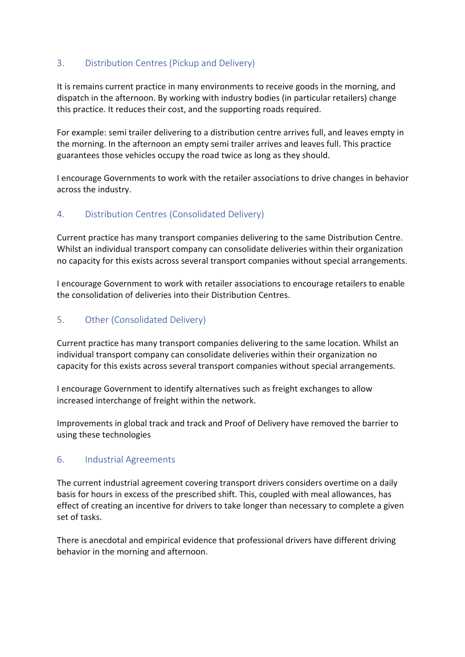# 3. Distribution Centres (Pickup and Delivery)

It is remains current practice in many environments to receive goods in the morning, and dispatch in the afternoon. By working with industry bodies (in particular retailers) change this practice. It reduces their cost, and the supporting roads required.

For example: semi trailer delivering to a distribution centre arrives full, and leaves empty in the morning. In the afternoon an empty semi trailer arrives and leaves full. This practice guarantees those vehicles occupy the road twice as long as they should.

I encourage Governments to work with the retailer associations to drive changes in behavior across the industry.

## 4. Distribution Centres (Consolidated Delivery)

Current practice has many transport companies delivering to the same Distribution Centre. Whilst an individual transport company can consolidate deliveries within their organization no capacity for this exists across several transport companies without special arrangements.

I encourage Government to work with retailer associations to encourage retailers to enable the consolidation of deliveries into their Distribution Centres.

# 5. Other (Consolidated Delivery)

Current practice has many transport companies delivering to the same location. Whilst an individual transport company can consolidate deliveries within their organization no capacity for this exists across several transport companies without special arrangements.

I encourage Government to identify alternatives such as freight exchanges to allow increased interchange of freight within the network.

Improvements in global track and track and Proof of Delivery have removed the barrier to using these technologies

## 6. Industrial Agreements

The current industrial agreement covering transport drivers considers overtime on a daily basis for hours in excess of the prescribed shift. This, coupled with meal allowances, has effect of creating an incentive for drivers to take longer than necessary to complete a given set of tasks.

There is anecdotal and empirical evidence that professional drivers have different driving behavior in the morning and afternoon.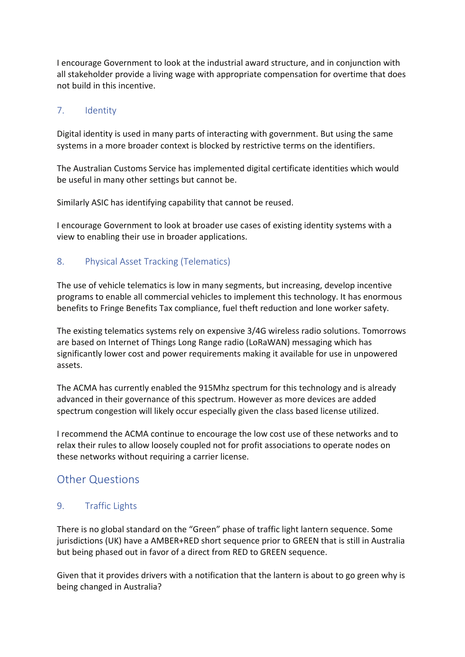I encourage Government to look at the industrial award structure, and in conjunction with all stakeholder provide a living wage with appropriate compensation for overtime that does not build in this incentive.

## 7. Identity

Digital identity is used in many parts of interacting with government. But using the same systems in a more broader context is blocked by restrictive terms on the identifiers.

The Australian Customs Service has implemented digital certificate identities which would be useful in many other settings but cannot be.

Similarly ASIC has identifying capability that cannot be reused.

I encourage Government to look at broader use cases of existing identity systems with a view to enabling their use in broader applications.

## 8. Physical Asset Tracking (Telematics)

The use of vehicle telematics is low in many segments, but increasing, develop incentive programs to enable all commercial vehicles to implement this technology. It has enormous benefits to Fringe Benefits Tax compliance, fuel theft reduction and lone worker safety.

The existing telematics systems rely on expensive 3/4G wireless radio solutions. Tomorrows are based on Internet of Things Long Range radio (LoRaWAN) messaging which has significantly lower cost and power requirements making it available for use in unpowered assets.

The ACMA has currently enabled the 915Mhz spectrum for this technology and is already advanced in their governance of this spectrum. However as more devices are added spectrum congestion will likely occur especially given the class based license utilized.

I recommend the ACMA continue to encourage the low cost use of these networks and to relax their rules to allow loosely coupled not for profit associations to operate nodes on these networks without requiring a carrier license.

# **Other Questions**

## 9. Traffic Lights

There is no global standard on the "Green" phase of traffic light lantern sequence. Some jurisdictions (UK) have a AMBER+RED short sequence prior to GREEN that is still in Australia but being phased out in favor of a direct from RED to GREEN sequence.

Given that it provides drivers with a notification that the lantern is about to go green why is being changed in Australia?